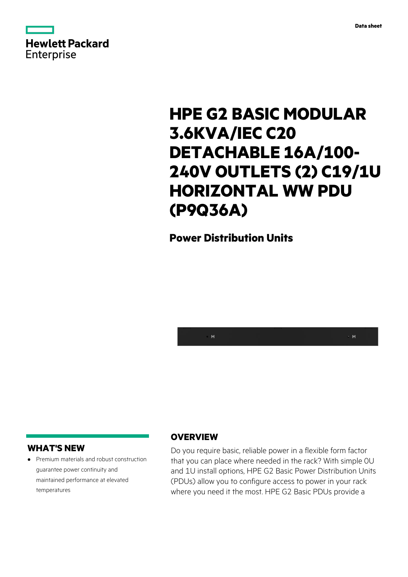



# **HPE G2 BASIC MODULAR 3.6KVA/IEC C20 DETACHABLE 16A/100- 240V OUTLETS (2) C19/1U HORIZONTAL WW PDU (P9Q36A)**

## **Power Distribution Units**



#### **WHAT'S NEW**

**·** Premium materials and robust construction guarantee power continuity and maintained performance at elevated temperatures

#### **OVERVIEW**

Do you require basic, reliable power in a flexible form factor that you can place where needed in the rack? With simple 0U and 1U install options, HPE G2 Basic Power Distribution Units (PDUs) allow you to configure access to power in your rack where you need it the most. HPE G2 Basic PDUs provide a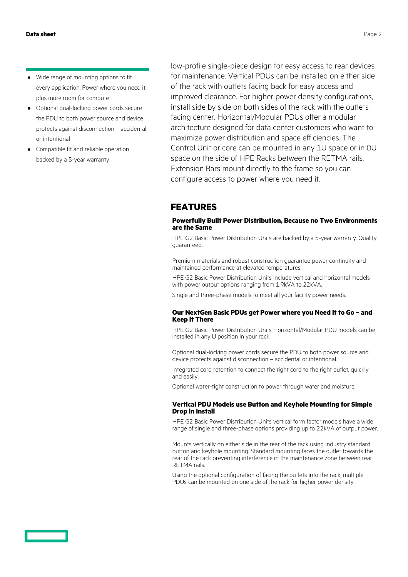- **·** Wide range of mounting options to fit every application; Power where you need it, plus more room for compute
- **·** Optional dual-locking power cords secure the PDU to both power source and device protects against disconnection – accidental or intentional
- **·** Compatible fit and reliable operation backed by a 5-year warranty

low-profile single-piece design for easy access to rear devices for maintenance. Vertical PDUs can be installed on either side of the rack with outlets facing back for easy access and improved clearance. For higher power density configurations, install side by side on both sides of the rack with the outlets facing center. Horizontal/Modular PDUs offer a modular architecture designed for data center customers who want to maximize power distribution and space efficiencies. The Control Unit or core can be mounted in any 1U space or in 0U space on the side of HPE Racks between the RETMA rails. Extension Bars mount directly to the frame so you can configure access to power where you need it.

### **FEATURES**

#### **Powerfully Built Power Distribution, Because no Two Environments are the Same**

HPE G2 Basic Power Distribution Units are backed by a 5-year warranty. Quality, guaranteed.

Premium materials and robust construction guarantee power continuity and maintained performance at elevated temperatures.

HPE G2 Basic Power Distribution Units include vertical and horizontal models with power output options ranging from 1.9kVA to 22kVA.

Single and three-phase models to meet all your facility power needs.

#### **Our NextGen Basic PDUs get Power where you Need it to Go – and Keep it There**

HPE G2 Basic Power Distribution Units Horizontal/Modular PDU models can be installed in any U position in your rack.

Optional dual-locking power cords secure the PDU to both power source and device protects against disconnection – accidental or intentional.

Integrated cord retention to connect the right cord to the right outlet, quickly and easily.

Optional water-tight construction to power through water and moisture.

#### **Vertical PDU Models use Button and Keyhole Mounting for Simple Drop in Install**

HPE G2 Basic Power Distribution Units vertical form factor models have a wide range of single and three-phase options providing up to 22kVA of output power.

Mounts vertically on either side in the rear of the rack using industry standard button and keyhole mounting. Standard mounting faces the outlet towards the rear of the rack preventing interference in the maintenance zone between rear RETMA rails.

Using the optional configuration of facing the outlets into the rack, multiple PDUs can be mounted on one side of the rack for higher power density.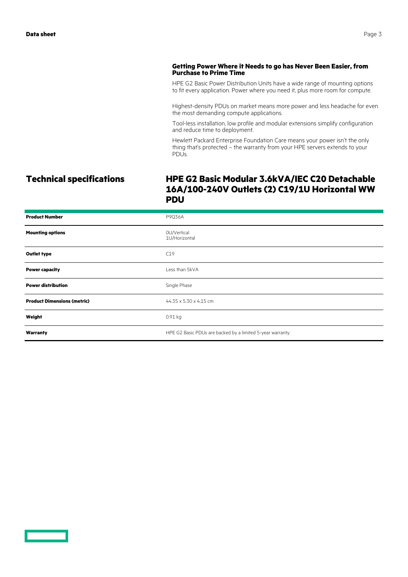#### **Getting Power Where it Needs to go has Never Been Easier, from Purchase to Prime Time**

HPE G2 Basic Power Distribution Units have a wide range of mounting options to fit every application. Power where you need it, plus more room for compute.

Highest-density PDUs on market means more power and less headache for even the most demanding compute applications.

Tool-less installation, low profile and modular extensions simplify configuration and reduce time to deployment.

Hewlett Packard Enterprise Foundation Care means your power isn't the only thing that's protected – the warranty from your HPE servers extends to your PDUs.

#### **Technical specifications HPE G2 Basic Modular 3.6kVA/IEC C20 Detachable 16A/100-240V Outlets (2) C19/1U Horizontal WW PDU**

| <b>Product Number</b>              | P9Q36A                                                     |
|------------------------------------|------------------------------------------------------------|
| <b>Mounting options</b>            | OU/Vertical<br>1U/Horizontal                               |
| <b>Outlet type</b>                 | C19                                                        |
| <b>Power capacity</b>              | Less than 5kVA                                             |
| <b>Power distribution</b>          | Single Phase                                               |
| <b>Product Dimensions (metric)</b> | 44.35 x 5.30 x 4.15 cm                                     |
| Weight                             | 0.91 kg                                                    |
| Warranty                           | HPE G2 Basic PDUs are backed by a limited 5-year warranty. |